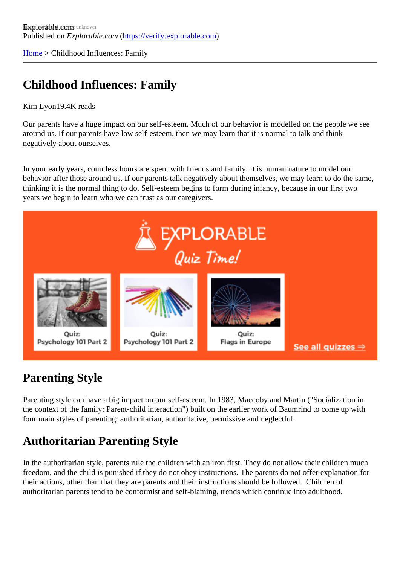[Home](https://verify.explorable.com/)> Childhood Influences: Family

### Childhood Influences: Family

Kim Lyon19.4K reads

Our parents have a huge impact on our self-esteem. Much of our behavior is modelled on the people we se around us. If our parents have low self-esteem, then we may learn that it is normal to talk and think negatively about ourselves.

In your early years, countless hours are spent with friends and family. It is human nature to model our behavior after those around us. If our parents talk negatively about themselves, we may learn to do the same, thinking it is the normal thing to do. Self-esteem begins to form during infancy, because in our first two years we begin to learn who we can trust as our caregivers.

# Parenting Style

Parenting style can have a big impact on our self-esteem. In 1983, Maccoby and Martin ("Socialization in the context of the family: Parent-child interaction") built on the earlier work of Baumrind to come up with four main styles of parenting: authoritarian, authoritative, permissive and neglectful.

# Authoritarian Parenting Style

In the authoritarian style, parents rule the children with an iron first. They do not allow their children much freedom, and the child is punished if they do not obey instructions. The parents do not offer explanation fo their actions, other than that they are parents and their instructions should be followed. Children of authoritarian parents tend to be conformist and self-blaming, trends which continue into adulthood.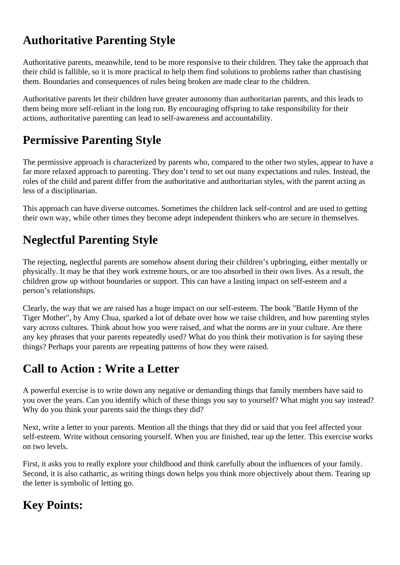### **Authoritative Parenting Style**

Authoritative parents, meanwhile, tend to be more responsive to their children. They take the approach that their child is fallible, so it is more practical to help them find solutions to problems rather than chastising them. Boundaries and consequences of rules being broken are made clear to the children.

Authoritative parents let their children have greater autonomy than authoritarian parents, and this leads to them being more self-reliant in the long run. By encouraging offspring to take responsibility for their actions, authoritative parenting can lead to self-awareness and accountability.

# **Permissive Parenting Style**

The permissive approach is characterized by parents who, compared to the other two styles, appear to have a far more relaxed approach to parenting. They don't tend to set out many expectations and rules. Instead, the roles of the child and parent differ from the authoritative and authoritarian styles, with the parent acting as less of a disciplinarian.

This approach can have diverse outcomes. Sometimes the children lack self-control and are used to getting their own way, while other times they become adept independent thinkers who are secure in themselves.

# **Neglectful Parenting Style**

The rejecting, neglectful parents are somehow absent during their children's upbringing, either mentally or physically. It may be that they work extreme hours, or are too absorbed in their own lives. As a result, the children grow up without boundaries or support. This can have a lasting impact on self-esteem and a person's relationships.

Clearly, the way that we are raised has a huge impact on our self-esteem. The book "Battle Hymn of the Tiger Mother", by Amy Chua, sparked a lot of debate over how we raise children, and how parenting styles vary across cultures. Think about how you were raised, and what the norms are in your culture. Are there any key phrases that your parents repeatedly used? What do you think their motivation is for saying these things? Perhaps your parents are repeating patterns of how they were raised.

### **Call to Action : Write a Letter**

A powerful exercise is to write down any negative or demanding things that family members have said to you over the years. Can you identify which of these things you say to yourself? What might you say instead? Why do you think your parents said the things they did?

Next, write a letter to your parents. Mention all the things that they did or said that you feel affected your self-esteem. Write without censoring yourself. When you are finished, tear up the letter. This exercise works on two levels.

First, it asks you to really explore your childhood and think carefully about the influences of your family. Second, it is also cathartic, as writing things down helps you think more objectively about them. Tearing up the letter is symbolic of letting go.

# **Key Points:**